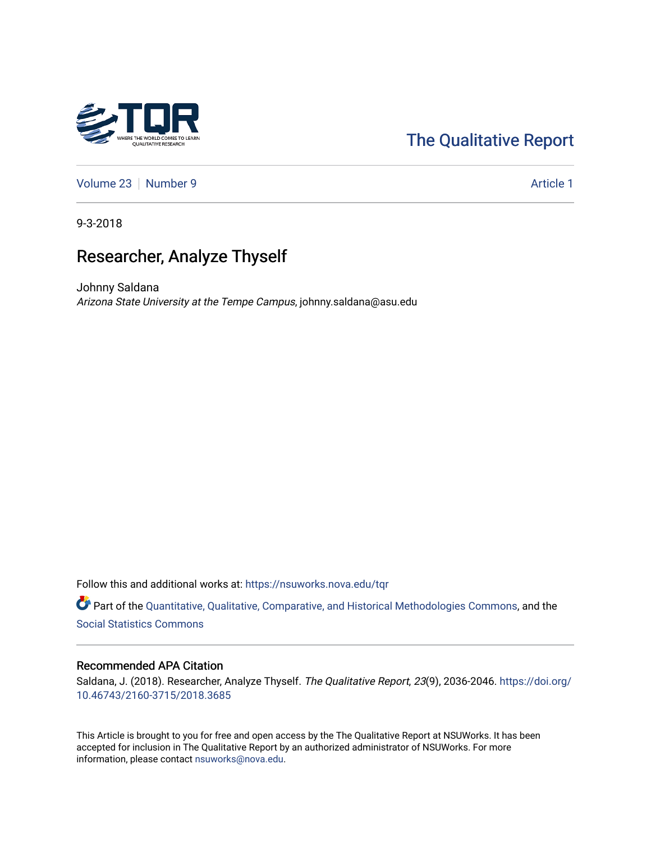# [The Qualitative Report](https://nsuworks.nova.edu/tqr)

[Volume 23](https://nsuworks.nova.edu/tqr/vol23) [Number 9](https://nsuworks.nova.edu/tqr/vol23/iss9) Article 1

9-3-2018

# Researcher, Analyze Thyself

Johnny Saldana Arizona State University at the Tempe Campus, johnny.saldana@asu.edu

Follow this and additional works at: [https://nsuworks.nova.edu/tqr](https://nsuworks.nova.edu/tqr?utm_source=nsuworks.nova.edu%2Ftqr%2Fvol23%2Fiss9%2F1&utm_medium=PDF&utm_campaign=PDFCoverPages) 

Part of the [Quantitative, Qualitative, Comparative, and Historical Methodologies Commons,](http://network.bepress.com/hgg/discipline/423?utm_source=nsuworks.nova.edu%2Ftqr%2Fvol23%2Fiss9%2F1&utm_medium=PDF&utm_campaign=PDFCoverPages) and the [Social Statistics Commons](http://network.bepress.com/hgg/discipline/1275?utm_source=nsuworks.nova.edu%2Ftqr%2Fvol23%2Fiss9%2F1&utm_medium=PDF&utm_campaign=PDFCoverPages) 

## Recommended APA Citation

Saldana, J. (2018). Researcher, Analyze Thyself. The Qualitative Report, 23(9), 2036-2046. [https://doi.org/](https://doi.org/10.46743/2160-3715/2018.3685) [10.46743/2160-3715/2018.3685](https://doi.org/10.46743/2160-3715/2018.3685)

This Article is brought to you for free and open access by the The Qualitative Report at NSUWorks. It has been accepted for inclusion in The Qualitative Report by an authorized administrator of NSUWorks. For more information, please contact [nsuworks@nova.edu.](mailto:nsuworks@nova.edu)

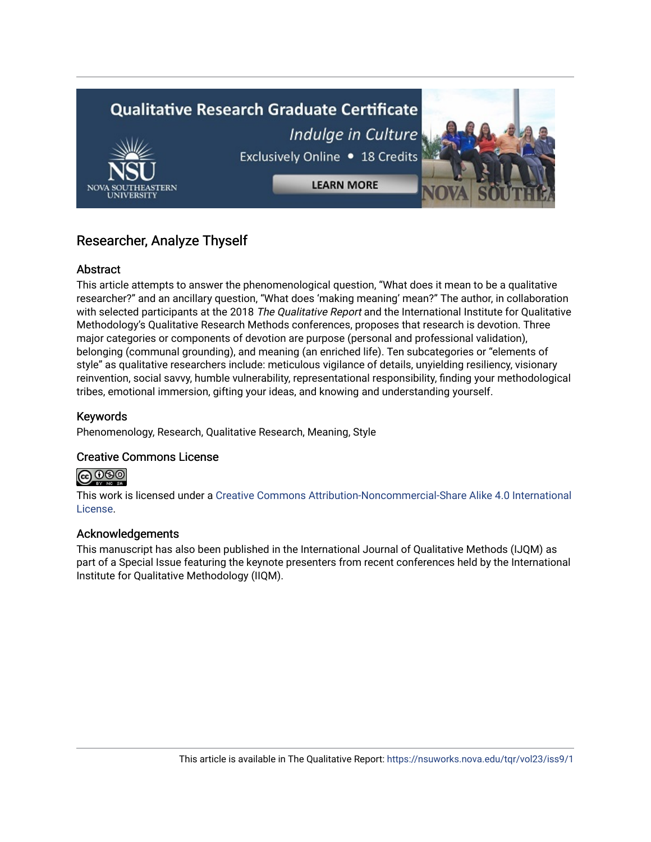# **Qualitative Research Graduate Certificate** Indulge in Culture Exclusively Online . 18 Credits **LEARN MORE**

# Researcher, Analyze Thyself

# Abstract

This article attempts to answer the phenomenological question, "What does it mean to be a qualitative researcher?" and an ancillary question, "What does 'making meaning' mean?" The author, in collaboration with selected participants at the 2018 The Qualitative Report and the International Institute for Qualitative Methodology's Qualitative Research Methods conferences, proposes that research is devotion. Three major categories or components of devotion are purpose (personal and professional validation), belonging (communal grounding), and meaning (an enriched life). Ten subcategories or "elements of style" as qualitative researchers include: meticulous vigilance of details, unyielding resiliency, visionary reinvention, social savvy, humble vulnerability, representational responsibility, finding your methodological tribes, emotional immersion, gifting your ideas, and knowing and understanding yourself.

# Keywords

Phenomenology, Research, Qualitative Research, Meaning, Style

# Creative Commons License



This work is licensed under a [Creative Commons Attribution-Noncommercial-Share Alike 4.0 International](https://creativecommons.org/licenses/by-nc-sa/4.0/)  [License](https://creativecommons.org/licenses/by-nc-sa/4.0/).

# Acknowledgements

This manuscript has also been published in the International Journal of Qualitative Methods (IJQM) as part of a Special Issue featuring the keynote presenters from recent conferences held by the International Institute for Qualitative Methodology (IIQM).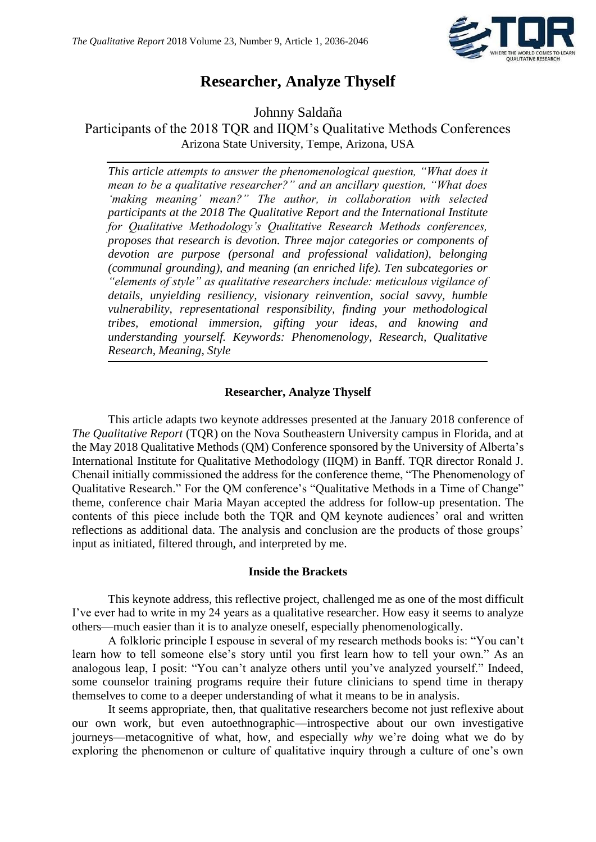

# **Researcher, Analyze Thyself**

Johnny Saldaña

Participants of the 2018 TQR and IIQM's Qualitative Methods Conferences Arizona State University, Tempe, Arizona, USA

*This article attempts to answer the phenomenological question, "What does it mean to be a qualitative researcher?" and an ancillary question, "What does 'making meaning' mean?" The author, in collaboration with selected participants at the 2018 The Qualitative Report and the International Institute for Qualitative Methodology's Qualitative Research Methods conferences, proposes that research is devotion. Three major categories or components of devotion are purpose (personal and professional validation), belonging (communal grounding), and meaning (an enriched life). Ten subcategories or "elements of style" as qualitative researchers include: meticulous vigilance of details, unyielding resiliency, visionary reinvention, social savvy, humble vulnerability, representational responsibility, finding your methodological tribes, emotional immersion, gifting your ideas, and knowing and understanding yourself. Keywords: Phenomenology, Research, Qualitative Research, Meaning, Style*

# **Researcher, Analyze Thyself**

This article adapts two keynote addresses presented at the January 2018 conference of *The Qualitative Report* (TQR) on the Nova Southeastern University campus in Florida, and at the May 2018 Qualitative Methods (QM) Conference sponsored by the University of Alberta's International Institute for Qualitative Methodology (IIQM) in Banff. TQR director Ronald J. Chenail initially commissioned the address for the conference theme, "The Phenomenology of Qualitative Research." For the QM conference's "Qualitative Methods in a Time of Change" theme, conference chair Maria Mayan accepted the address for follow-up presentation. The contents of this piece include both the TQR and QM keynote audiences' oral and written reflections as additional data. The analysis and conclusion are the products of those groups' input as initiated, filtered through, and interpreted by me.

# **Inside the Brackets**

This keynote address, this reflective project, challenged me as one of the most difficult I've ever had to write in my 24 years as a qualitative researcher. How easy it seems to analyze others—much easier than it is to analyze oneself, especially phenomenologically.

A folkloric principle I espouse in several of my research methods books is: "You can't learn how to tell someone else's story until you first learn how to tell your own." As an analogous leap, I posit: "You can't analyze others until you've analyzed yourself." Indeed, some counselor training programs require their future clinicians to spend time in therapy themselves to come to a deeper understanding of what it means to be in analysis.

It seems appropriate, then, that qualitative researchers become not just reflexive about our own work, but even autoethnographic—introspective about our own investigative journeys—metacognitive of what, how, and especially *why* we're doing what we do by exploring the phenomenon or culture of qualitative inquiry through a culture of one's own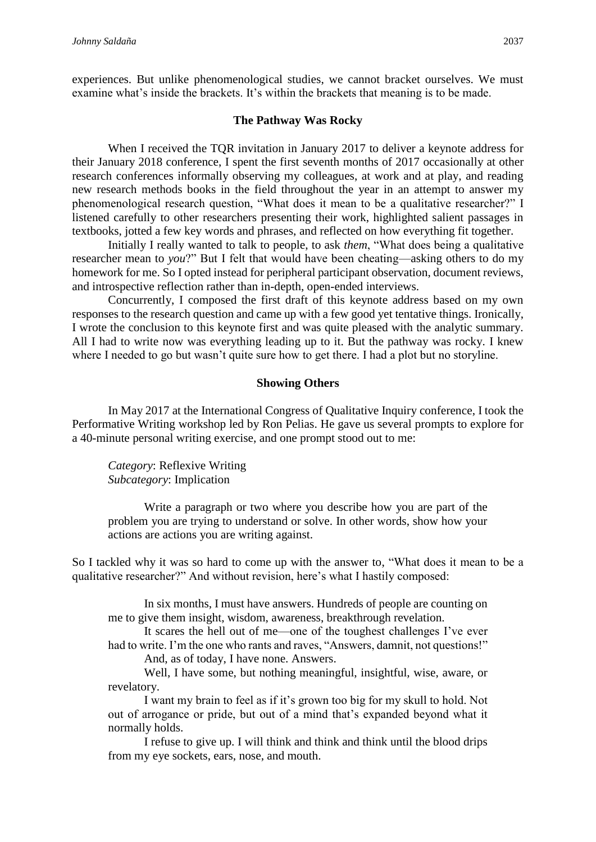experiences. But unlike phenomenological studies, we cannot bracket ourselves. We must examine what's inside the brackets. It's within the brackets that meaning is to be made.

#### **The Pathway Was Rocky**

When I received the TQR invitation in January 2017 to deliver a keynote address for their January 2018 conference, I spent the first seventh months of 2017 occasionally at other research conferences informally observing my colleagues, at work and at play, and reading new research methods books in the field throughout the year in an attempt to answer my phenomenological research question, "What does it mean to be a qualitative researcher?" I listened carefully to other researchers presenting their work, highlighted salient passages in textbooks, jotted a few key words and phrases, and reflected on how everything fit together.

Initially I really wanted to talk to people, to ask *them*, "What does being a qualitative researcher mean to *you*?" But I felt that would have been cheating—asking others to do my homework for me. So I opted instead for peripheral participant observation, document reviews, and introspective reflection rather than in-depth, open-ended interviews.

Concurrently, I composed the first draft of this keynote address based on my own responses to the research question and came up with a few good yet tentative things. Ironically, I wrote the conclusion to this keynote first and was quite pleased with the analytic summary. All I had to write now was everything leading up to it. But the pathway was rocky. I knew where I needed to go but wasn't quite sure how to get there. I had a plot but no storyline.

#### **Showing Others**

In May 2017 at the International Congress of Qualitative Inquiry conference, I took the Performative Writing workshop led by Ron Pelias. He gave us several prompts to explore for a 40-minute personal writing exercise, and one prompt stood out to me:

*Category*: Reflexive Writing *Subcategory*: Implication

Write a paragraph or two where you describe how you are part of the problem you are trying to understand or solve. In other words, show how your actions are actions you are writing against.

So I tackled why it was so hard to come up with the answer to, "What does it mean to be a qualitative researcher?" And without revision, here's what I hastily composed:

In six months, I must have answers. Hundreds of people are counting on me to give them insight, wisdom, awareness, breakthrough revelation.

It scares the hell out of me—one of the toughest challenges I've ever had to write. I'm the one who rants and raves, "Answers, damnit, not questions!" And, as of today, I have none. Answers.

Well, I have some, but nothing meaningful, insightful, wise, aware, or revelatory.

I want my brain to feel as if it's grown too big for my skull to hold. Not out of arrogance or pride, but out of a mind that's expanded beyond what it normally holds.

I refuse to give up. I will think and think and think until the blood drips from my eye sockets, ears, nose, and mouth.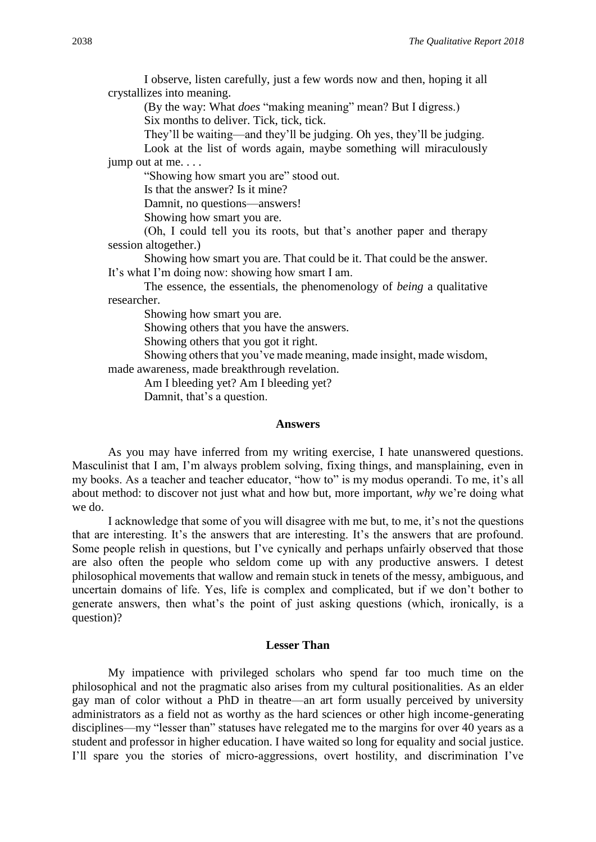I observe, listen carefully, just a few words now and then, hoping it all crystallizes into meaning.

(By the way: What *does* "making meaning" mean? But I digress.) Six months to deliver. Tick, tick, tick.

They'll be waiting—and they'll be judging. Oh yes, they'll be judging. Look at the list of words again, maybe something will miraculously jump out at me. . . .

"Showing how smart you are" stood out.

Is that the answer? Is it mine?

Damnit, no questions—answers!

Showing how smart you are.

(Oh, I could tell you its roots, but that's another paper and therapy session altogether.)

Showing how smart you are. That could be it. That could be the answer. It's what I'm doing now: showing how smart I am.

The essence, the essentials, the phenomenology of *being* a qualitative researcher.

Showing how smart you are.

Showing others that you have the answers.

Showing others that you got it right.

Showing others that you've made meaning, made insight, made wisdom, made awareness, made breakthrough revelation.

Am I bleeding yet? Am I bleeding yet?

Damnit, that's a question.

#### **Answers**

As you may have inferred from my writing exercise, I hate unanswered questions. Masculinist that I am, I'm always problem solving, fixing things, and mansplaining, even in my books. As a teacher and teacher educator, "how to" is my modus operandi. To me, it's all about method: to discover not just what and how but, more important, *why* we're doing what we do.

I acknowledge that some of you will disagree with me but, to me, it's not the questions that are interesting. It's the answers that are interesting. It's the answers that are profound. Some people relish in questions, but I've cynically and perhaps unfairly observed that those are also often the people who seldom come up with any productive answers. I detest philosophical movements that wallow and remain stuck in tenets of the messy, ambiguous, and uncertain domains of life. Yes, life is complex and complicated, but if we don't bother to generate answers, then what's the point of just asking questions (which, ironically, is a question)?

#### **Lesser Than**

My impatience with privileged scholars who spend far too much time on the philosophical and not the pragmatic also arises from my cultural positionalities. As an elder gay man of color without a PhD in theatre—an art form usually perceived by university administrators as a field not as worthy as the hard sciences or other high income-generating disciplines—my "lesser than" statuses have relegated me to the margins for over 40 years as a student and professor in higher education. I have waited so long for equality and social justice. I'll spare you the stories of micro-aggressions, overt hostility, and discrimination I've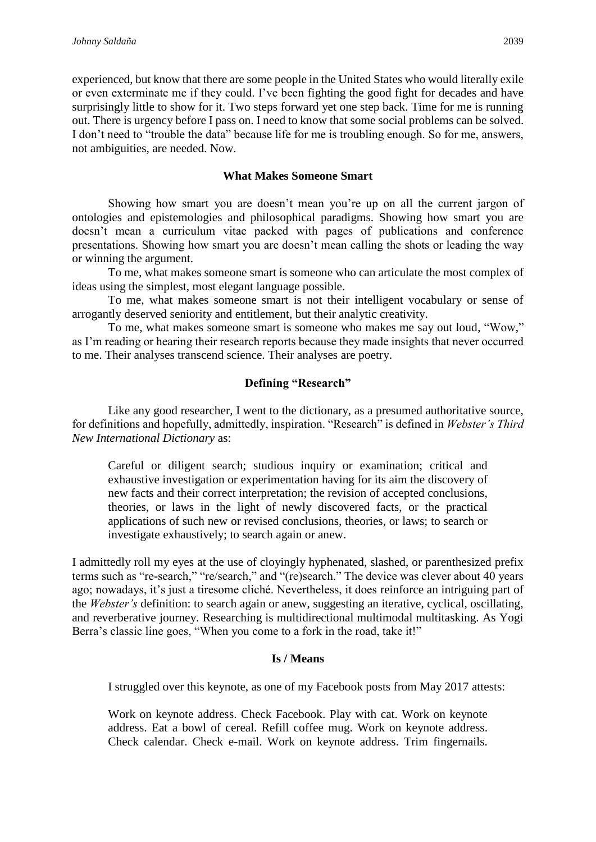experienced, but know that there are some people in the United States who would literally exile or even exterminate me if they could. I've been fighting the good fight for decades and have surprisingly little to show for it. Two steps forward yet one step back. Time for me is running out. There is urgency before I pass on. I need to know that some social problems can be solved. I don't need to "trouble the data" because life for me is troubling enough. So for me, answers, not ambiguities, are needed. Now.

# **What Makes Someone Smart**

Showing how smart you are doesn't mean you're up on all the current jargon of ontologies and epistemologies and philosophical paradigms. Showing how smart you are doesn't mean a curriculum vitae packed with pages of publications and conference presentations. Showing how smart you are doesn't mean calling the shots or leading the way or winning the argument.

To me, what makes someone smart is someone who can articulate the most complex of ideas using the simplest, most elegant language possible.

To me, what makes someone smart is not their intelligent vocabulary or sense of arrogantly deserved seniority and entitlement, but their analytic creativity.

To me, what makes someone smart is someone who makes me say out loud, "Wow," as I'm reading or hearing their research reports because they made insights that never occurred to me. Their analyses transcend science. Their analyses are poetry.

# **Defining "Research"**

Like any good researcher, I went to the dictionary, as a presumed authoritative source, for definitions and hopefully, admittedly, inspiration. "Research" is defined in *Webster's Third New International Dictionary* as:

Careful or diligent search; studious inquiry or examination; critical and exhaustive investigation or experimentation having for its aim the discovery of new facts and their correct interpretation; the revision of accepted conclusions, theories, or laws in the light of newly discovered facts, or the practical applications of such new or revised conclusions, theories, or laws; to search or investigate exhaustively; to search again or anew.

I admittedly roll my eyes at the use of cloyingly hyphenated, slashed, or parenthesized prefix terms such as "re-search," "re/search," and "(re)search." The device was clever about 40 years ago; nowadays, it's just a tiresome cliché. Nevertheless, it does reinforce an intriguing part of the *Webster's* definition: to search again or anew, suggesting an iterative, cyclical, oscillating, and reverberative journey. Researching is multidirectional multimodal multitasking. As Yogi Berra's classic line goes, "When you come to a fork in the road, take it!"

# **Is / Means**

I struggled over this keynote, as one of my Facebook posts from May 2017 attests:

Work on keynote address. Check Facebook. Play with cat. Work on keynote address. Eat a bowl of cereal. Refill coffee mug. Work on keynote address. Check calendar. Check e-mail. Work on keynote address. Trim fingernails.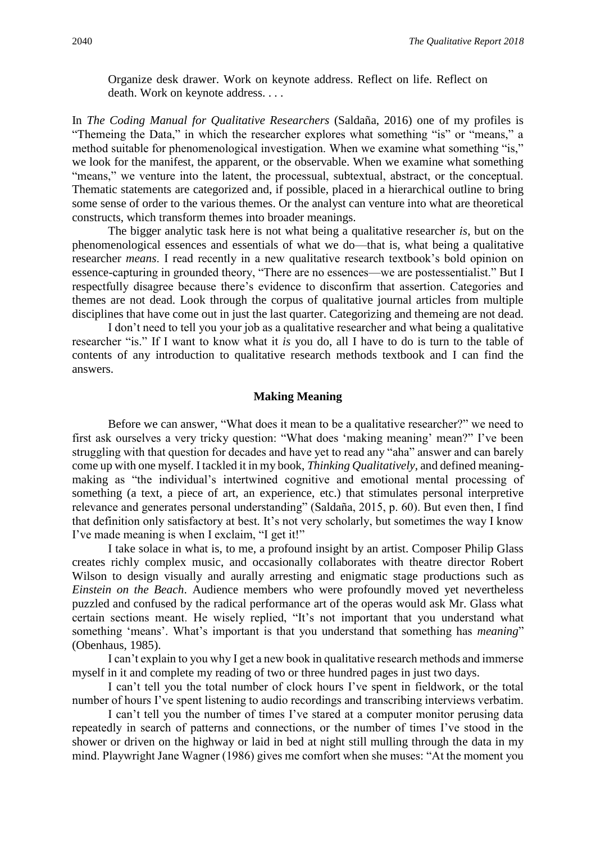Organize desk drawer. Work on keynote address. Reflect on life. Reflect on death. Work on keynote address. . . .

In *The Coding Manual for Qualitative Researchers* (Saldaña, 2016) one of my profiles is "Themeing the Data," in which the researcher explores what something "is" or "means," a method suitable for phenomenological investigation. When we examine what something "is," we look for the manifest, the apparent, or the observable. When we examine what something "means," we venture into the latent, the processual, subtextual, abstract, or the conceptual. Thematic statements are categorized and, if possible, placed in a hierarchical outline to bring some sense of order to the various themes. Or the analyst can venture into what are theoretical constructs, which transform themes into broader meanings.

The bigger analytic task here is not what being a qualitative researcher *is*, but on the phenomenological essences and essentials of what we do—that is, what being a qualitative researcher *means*. I read recently in a new qualitative research textbook's bold opinion on essence-capturing in grounded theory, "There are no essences—we are postessentialist." But I respectfully disagree because there's evidence to disconfirm that assertion. Categories and themes are not dead. Look through the corpus of qualitative journal articles from multiple disciplines that have come out in just the last quarter. Categorizing and themeing are not dead.

I don't need to tell you your job as a qualitative researcher and what being a qualitative researcher "is." If I want to know what it *is* you do, all I have to do is turn to the table of contents of any introduction to qualitative research methods textbook and I can find the answers.

#### **Making Meaning**

Before we can answer, "What does it mean to be a qualitative researcher?" we need to first ask ourselves a very tricky question: "What does 'making meaning' mean?" I've been struggling with that question for decades and have yet to read any "aha" answer and can barely come up with one myself. I tackled it in my book, *Thinking Qualitatively*, and defined meaningmaking as "the individual's intertwined cognitive and emotional mental processing of something (a text, a piece of art, an experience, etc.) that stimulates personal interpretive relevance and generates personal understanding" (Saldaña, 2015, p. 60). But even then, I find that definition only satisfactory at best. It's not very scholarly, but sometimes the way I know I've made meaning is when I exclaim, "I get it!"

I take solace in what is, to me, a profound insight by an artist. Composer Philip Glass creates richly complex music, and occasionally collaborates with theatre director Robert Wilson to design visually and aurally arresting and enigmatic stage productions such as *Einstein on the Beach*. Audience members who were profoundly moved yet nevertheless puzzled and confused by the radical performance art of the operas would ask Mr. Glass what certain sections meant. He wisely replied, "It's not important that you understand what something 'means'. What's important is that you understand that something has *meaning*" (Obenhaus, 1985).

I can't explain to you why I get a new book in qualitative research methods and immerse myself in it and complete my reading of two or three hundred pages in just two days.

I can't tell you the total number of clock hours I've spent in fieldwork, or the total number of hours I've spent listening to audio recordings and transcribing interviews verbatim.

I can't tell you the number of times I've stared at a computer monitor perusing data repeatedly in search of patterns and connections, or the number of times I've stood in the shower or driven on the highway or laid in bed at night still mulling through the data in my mind. Playwright Jane Wagner (1986) gives me comfort when she muses: "At the moment you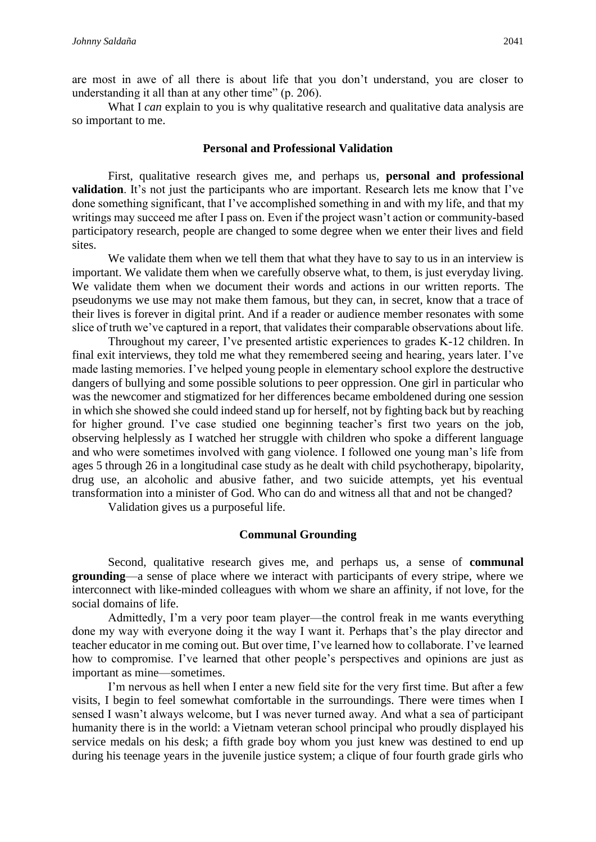are most in awe of all there is about life that you don't understand, you are closer to understanding it all than at any other time" (p. 206).

What I *can* explain to you is why qualitative research and qualitative data analysis are so important to me.

## **Personal and Professional Validation**

First, qualitative research gives me, and perhaps us, **personal and professional validation**. It's not just the participants who are important. Research lets me know that I've done something significant, that I've accomplished something in and with my life, and that my writings may succeed me after I pass on. Even if the project wasn't action or community-based participatory research, people are changed to some degree when we enter their lives and field sites.

We validate them when we tell them that what they have to say to us in an interview is important. We validate them when we carefully observe what, to them, is just everyday living. We validate them when we document their words and actions in our written reports. The pseudonyms we use may not make them famous, but they can, in secret, know that a trace of their lives is forever in digital print. And if a reader or audience member resonates with some slice of truth we've captured in a report, that validates their comparable observations about life.

Throughout my career, I've presented artistic experiences to grades K-12 children. In final exit interviews, they told me what they remembered seeing and hearing, years later. I've made lasting memories. I've helped young people in elementary school explore the destructive dangers of bullying and some possible solutions to peer oppression. One girl in particular who was the newcomer and stigmatized for her differences became emboldened during one session in which she showed she could indeed stand up for herself, not by fighting back but by reaching for higher ground. I've case studied one beginning teacher's first two years on the job, observing helplessly as I watched her struggle with children who spoke a different language and who were sometimes involved with gang violence. I followed one young man's life from ages 5 through 26 in a longitudinal case study as he dealt with child psychotherapy, bipolarity, drug use, an alcoholic and abusive father, and two suicide attempts, yet his eventual transformation into a minister of God. Who can do and witness all that and not be changed?

Validation gives us a purposeful life.

### **Communal Grounding**

Second, qualitative research gives me, and perhaps us, a sense of **communal grounding**—a sense of place where we interact with participants of every stripe, where we interconnect with like-minded colleagues with whom we share an affinity, if not love, for the social domains of life.

Admittedly, I'm a very poor team player—the control freak in me wants everything done my way with everyone doing it the way I want it. Perhaps that's the play director and teacher educator in me coming out. But over time, I've learned how to collaborate. I've learned how to compromise. I've learned that other people's perspectives and opinions are just as important as mine—sometimes.

I'm nervous as hell when I enter a new field site for the very first time. But after a few visits, I begin to feel somewhat comfortable in the surroundings. There were times when I sensed I wasn't always welcome, but I was never turned away. And what a sea of participant humanity there is in the world: a Vietnam veteran school principal who proudly displayed his service medals on his desk; a fifth grade boy whom you just knew was destined to end up during his teenage years in the juvenile justice system; a clique of four fourth grade girls who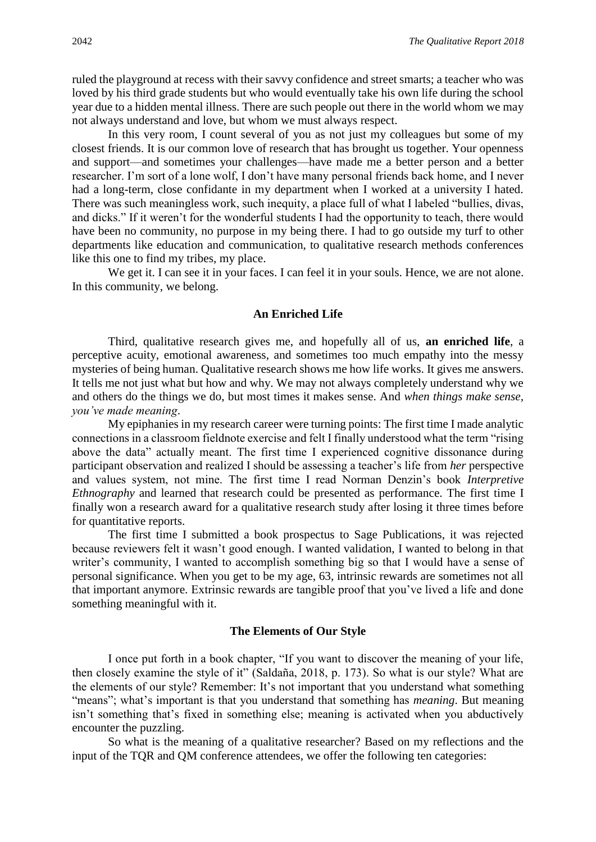ruled the playground at recess with their savvy confidence and street smarts; a teacher who was loved by his third grade students but who would eventually take his own life during the school year due to a hidden mental illness. There are such people out there in the world whom we may not always understand and love, but whom we must always respect.

In this very room, I count several of you as not just my colleagues but some of my closest friends. It is our common love of research that has brought us together. Your openness and support—and sometimes your challenges—have made me a better person and a better researcher. I'm sort of a lone wolf, I don't have many personal friends back home, and I never had a long-term, close confidante in my department when I worked at a university I hated. There was such meaningless work, such inequity, a place full of what I labeled "bullies, divas, and dicks." If it weren't for the wonderful students I had the opportunity to teach, there would have been no community, no purpose in my being there. I had to go outside my turf to other departments like education and communication, to qualitative research methods conferences like this one to find my tribes, my place.

We get it. I can see it in your faces. I can feel it in your souls. Hence, we are not alone. In this community, we belong.

#### **An Enriched Life**

Third, qualitative research gives me, and hopefully all of us, **an enriched life**, a perceptive acuity, emotional awareness, and sometimes too much empathy into the messy mysteries of being human. Qualitative research shows me how life works. It gives me answers. It tells me not just what but how and why. We may not always completely understand why we and others do the things we do, but most times it makes sense. And *when things make sense, you've made meaning*.

My epiphanies in my research career were turning points: The first time I made analytic connections in a classroom fieldnote exercise and felt I finally understood what the term "rising above the data" actually meant. The first time I experienced cognitive dissonance during participant observation and realized I should be assessing a teacher's life from *her* perspective and values system, not mine. The first time I read Norman Denzin's book *Interpretive Ethnography* and learned that research could be presented as performance. The first time I finally won a research award for a qualitative research study after losing it three times before for quantitative reports.

The first time I submitted a book prospectus to Sage Publications, it was rejected because reviewers felt it wasn't good enough. I wanted validation, I wanted to belong in that writer's community, I wanted to accomplish something big so that I would have a sense of personal significance. When you get to be my age, 63, intrinsic rewards are sometimes not all that important anymore. Extrinsic rewards are tangible proof that you've lived a life and done something meaningful with it.

### **The Elements of Our Style**

I once put forth in a book chapter, "If you want to discover the meaning of your life, then closely examine the style of it" (Saldaña, 2018, p. 173). So what is our style? What are the elements of our style? Remember: It's not important that you understand what something "means"; what's important is that you understand that something has *meaning*. But meaning isn't something that's fixed in something else; meaning is activated when you abductively encounter the puzzling.

So what is the meaning of a qualitative researcher? Based on my reflections and the input of the TQR and QM conference attendees, we offer the following ten categories: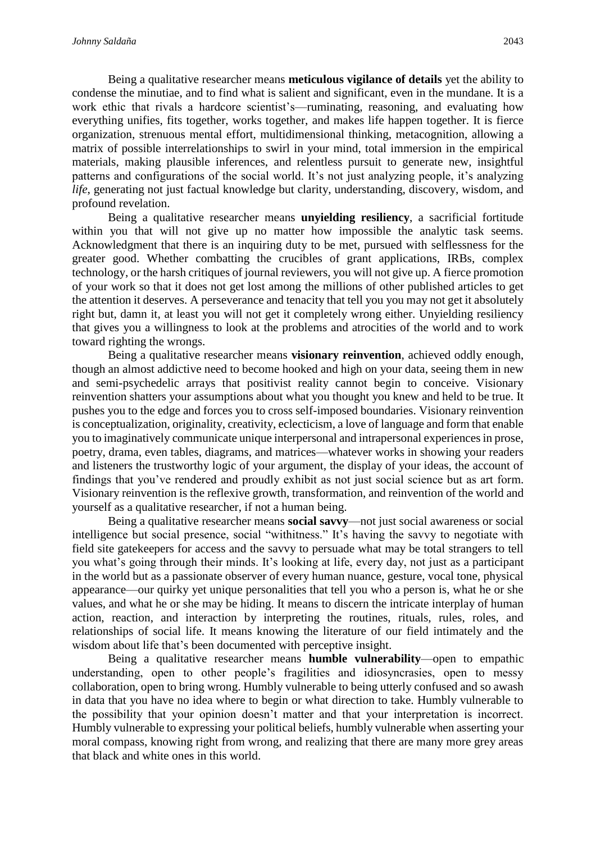Being a qualitative researcher means **meticulous vigilance of details** yet the ability to condense the minutiae, and to find what is salient and significant, even in the mundane. It is a work ethic that rivals a hardcore scientist's—ruminating, reasoning, and evaluating how everything unifies, fits together, works together, and makes life happen together. It is fierce organization, strenuous mental effort, multidimensional thinking, metacognition, allowing a matrix of possible interrelationships to swirl in your mind, total immersion in the empirical materials, making plausible inferences, and relentless pursuit to generate new, insightful patterns and configurations of the social world. It's not just analyzing people, it's analyzing *life*, generating not just factual knowledge but clarity, understanding, discovery, wisdom, and profound revelation.

Being a qualitative researcher means **unyielding resiliency**, a sacrificial fortitude within you that will not give up no matter how impossible the analytic task seems. Acknowledgment that there is an inquiring duty to be met, pursued with selflessness for the greater good. Whether combatting the crucibles of grant applications, IRBs, complex technology, or the harsh critiques of journal reviewers, you will not give up. A fierce promotion of your work so that it does not get lost among the millions of other published articles to get the attention it deserves. A perseverance and tenacity that tell you you may not get it absolutely right but, damn it, at least you will not get it completely wrong either. Unyielding resiliency that gives you a willingness to look at the problems and atrocities of the world and to work toward righting the wrongs.

Being a qualitative researcher means **visionary reinvention**, achieved oddly enough, though an almost addictive need to become hooked and high on your data, seeing them in new and semi-psychedelic arrays that positivist reality cannot begin to conceive. Visionary reinvention shatters your assumptions about what you thought you knew and held to be true. It pushes you to the edge and forces you to cross self-imposed boundaries. Visionary reinvention is conceptualization, originality, creativity, eclecticism, a love of language and form that enable you to imaginatively communicate unique interpersonal and intrapersonal experiences in prose, poetry, drama, even tables, diagrams, and matrices—whatever works in showing your readers and listeners the trustworthy logic of your argument, the display of your ideas, the account of findings that you've rendered and proudly exhibit as not just social science but as art form. Visionary reinvention is the reflexive growth, transformation, and reinvention of the world and yourself as a qualitative researcher, if not a human being.

Being a qualitative researcher means **social savvy**—not just social awareness or social intelligence but social presence, social "withitness." It's having the savvy to negotiate with field site gatekeepers for access and the savvy to persuade what may be total strangers to tell you what's going through their minds. It's looking at life, every day, not just as a participant in the world but as a passionate observer of every human nuance, gesture, vocal tone, physical appearance—our quirky yet unique personalities that tell you who a person is, what he or she values, and what he or she may be hiding. It means to discern the intricate interplay of human action, reaction, and interaction by interpreting the routines, rituals, rules, roles, and relationships of social life. It means knowing the literature of our field intimately and the wisdom about life that's been documented with perceptive insight.

Being a qualitative researcher means **humble vulnerability**—open to empathic understanding, open to other people's fragilities and idiosyncrasies, open to messy collaboration, open to bring wrong. Humbly vulnerable to being utterly confused and so awash in data that you have no idea where to begin or what direction to take. Humbly vulnerable to the possibility that your opinion doesn't matter and that your interpretation is incorrect. Humbly vulnerable to expressing your political beliefs, humbly vulnerable when asserting your moral compass, knowing right from wrong, and realizing that there are many more grey areas that black and white ones in this world.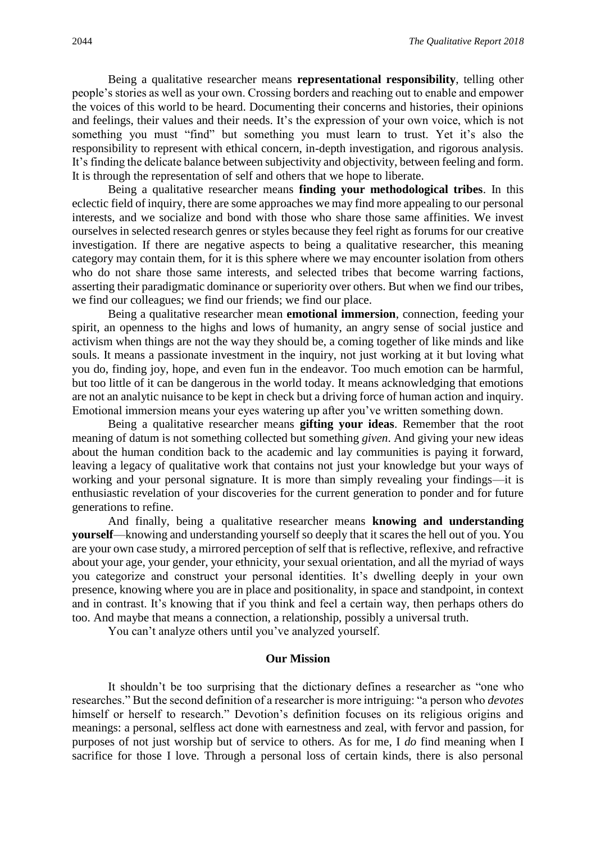Being a qualitative researcher means **representational responsibility**, telling other people's stories as well as your own. Crossing borders and reaching out to enable and empower the voices of this world to be heard. Documenting their concerns and histories, their opinions and feelings, their values and their needs. It's the expression of your own voice, which is not something you must "find" but something you must learn to trust. Yet it's also the responsibility to represent with ethical concern, in-depth investigation, and rigorous analysis. It's finding the delicate balance between subjectivity and objectivity, between feeling and form. It is through the representation of self and others that we hope to liberate.

Being a qualitative researcher means **finding your methodological tribes**. In this eclectic field of inquiry, there are some approaches we may find more appealing to our personal interests, and we socialize and bond with those who share those same affinities. We invest ourselves in selected research genres or styles because they feel right as forums for our creative investigation. If there are negative aspects to being a qualitative researcher, this meaning category may contain them, for it is this sphere where we may encounter isolation from others who do not share those same interests, and selected tribes that become warring factions, asserting their paradigmatic dominance or superiority over others. But when we find our tribes, we find our colleagues; we find our friends; we find our place.

Being a qualitative researcher mean **emotional immersion**, connection, feeding your spirit, an openness to the highs and lows of humanity, an angry sense of social justice and activism when things are not the way they should be, a coming together of like minds and like souls. It means a passionate investment in the inquiry, not just working at it but loving what you do, finding joy, hope, and even fun in the endeavor. Too much emotion can be harmful, but too little of it can be dangerous in the world today. It means acknowledging that emotions are not an analytic nuisance to be kept in check but a driving force of human action and inquiry. Emotional immersion means your eyes watering up after you've written something down.

Being a qualitative researcher means **gifting your ideas**. Remember that the root meaning of datum is not something collected but something *given*. And giving your new ideas about the human condition back to the academic and lay communities is paying it forward, leaving a legacy of qualitative work that contains not just your knowledge but your ways of working and your personal signature. It is more than simply revealing your findings—it is enthusiastic revelation of your discoveries for the current generation to ponder and for future generations to refine.

And finally, being a qualitative researcher means **knowing and understanding yourself**—knowing and understanding yourself so deeply that it scares the hell out of you. You are your own case study, a mirrored perception of self that is reflective, reflexive, and refractive about your age, your gender, your ethnicity, your sexual orientation, and all the myriad of ways you categorize and construct your personal identities. It's dwelling deeply in your own presence, knowing where you are in place and positionality, in space and standpoint, in context and in contrast. It's knowing that if you think and feel a certain way, then perhaps others do too. And maybe that means a connection, a relationship, possibly a universal truth.

You can't analyze others until you've analyzed yourself.

#### **Our Mission**

It shouldn't be too surprising that the dictionary defines a researcher as "one who researches." But the second definition of a researcher is more intriguing: "a person who *devotes* himself or herself to research." Devotion's definition focuses on its religious origins and meanings: a personal, selfless act done with earnestness and zeal, with fervor and passion, for purposes of not just worship but of service to others. As for me, I *do* find meaning when I sacrifice for those I love. Through a personal loss of certain kinds, there is also personal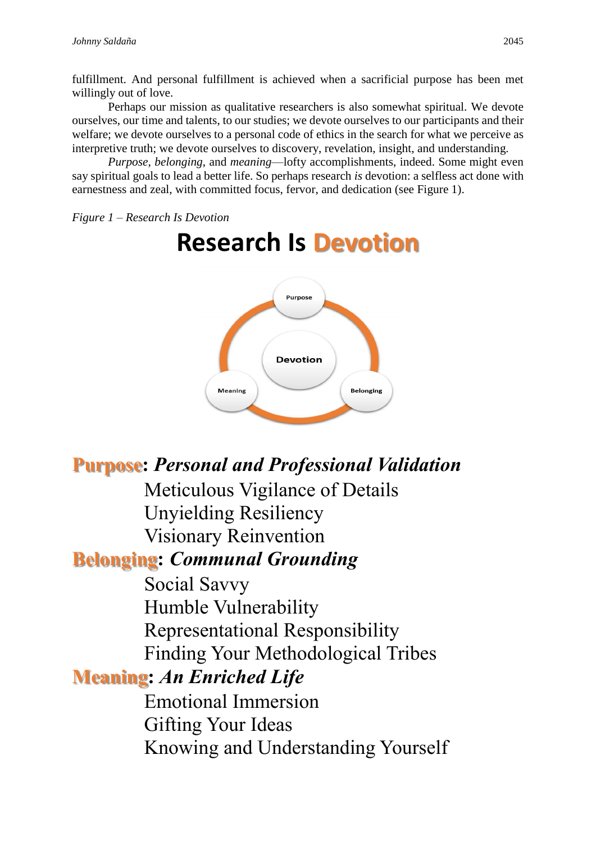fulfillment. And personal fulfillment is achieved when a sacrificial purpose has been met willingly out of love.

Perhaps our mission as qualitative researchers is also somewhat spiritual. We devote ourselves, our time and talents, to our studies; we devote ourselves to our participants and their welfare; we devote ourselves to a personal code of ethics in the search for what we perceive as interpretive truth; we devote ourselves to discovery, revelation, insight, and understanding.

*Purpose*, *belonging*, and *meaning*—lofty accomplishments, indeed. Some might even say spiritual goals to lead a better life. So perhaps research *is* devotion: a selfless act done with earnestness and zeal, with committed focus, fervor, and dedication (see Figure 1).

*Figure 1 – Research Is Devotion*

# **Research Is Devotion**



# **Purpose:** *Personal and Professional Validation*

Meticulous Vigilance of Details Unyielding Resiliency Visionary Reinvention

# **Belonging:** *Communal Grounding*

Social Savvy Humble Vulnerability Representational Responsibility Finding Your Methodological Tribes

# **Meaning:** *An Enriched Life*

Emotional Immersion Gifting Your Ideas Knowing and Understanding Yourself